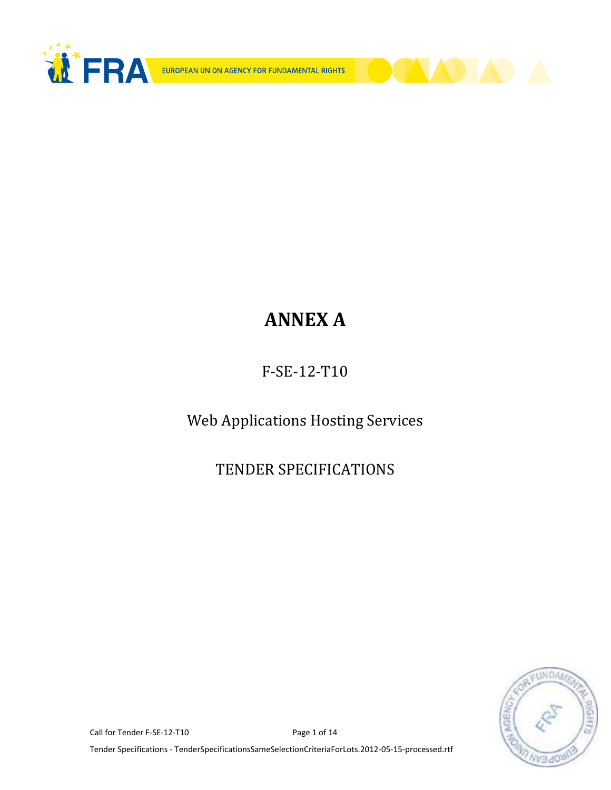



F-SE-12-T10

Web Applications Hosting Services

TENDER SPECIFICATIONS



Call for Tender F-SE-12-T10 Page 1 of 14

Tender Specifications - TenderSpecificationsSameSelectionCriteriaForLots.2012-05-15-processed.rtf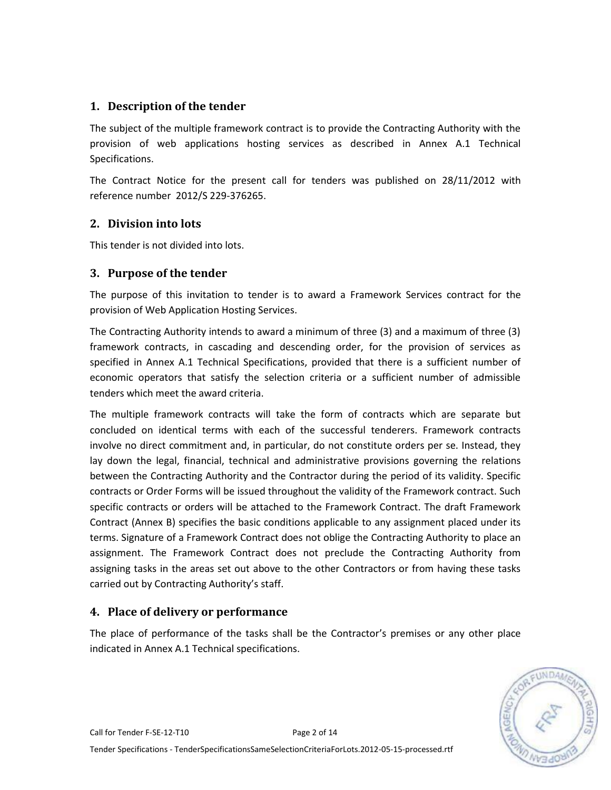## **1. Description of the tender**

The subject of the multiple framework contract is to provide the Contracting Authority with the provision of web applications hosting services as described in Annex A.1 Technical Specifications.

The Contract Notice for the present call for tenders was published on 28/11/2012 with reference number 2012/S 229-376265.

## **2. Division into lots**

This tender is not divided into lots.

#### **3. Purpose of the tender**

The purpose of this invitation to tender is to award a Framework Services contract for the provision of Web Application Hosting Services.

The Contracting Authority intends to award a minimum of three (3) and a maximum of three (3) framework contracts, in cascading and descending order, for the provision of services as specified in Annex A.1 Technical Specifications, provided that there is a sufficient number of economic operators that satisfy the selection criteria or a sufficient number of admissible tenders which meet the award criteria.

The multiple framework contracts will take the form of contracts which are separate but concluded on identical terms with each of the successful tenderers. Framework contracts involve no direct commitment and, in particular, do not constitute orders per se. Instead, they lay down the legal, financial, technical and administrative provisions governing the relations between the Contracting Authority and the Contractor during the period of its validity. Specific contracts or Order Forms will be issued throughout the validity of the Framework contract. Such specific contracts or orders will be attached to the Framework Contract. The draft Framework Contract (Annex B) specifies the basic conditions applicable to any assignment placed under its terms. Signature of a Framework Contract does not oblige the Contracting Authority to place an assignment. The Framework Contract does not preclude the Contracting Authority from assigning tasks in the areas set out above to the other Contractors or from having these tasks carried out by Contracting Authority's staff.

## **4. Place of delivery or performance**

The place of performance of the tasks shall be the Contractor's premises or any other place indicated in Annex A.1 Technical specifications.

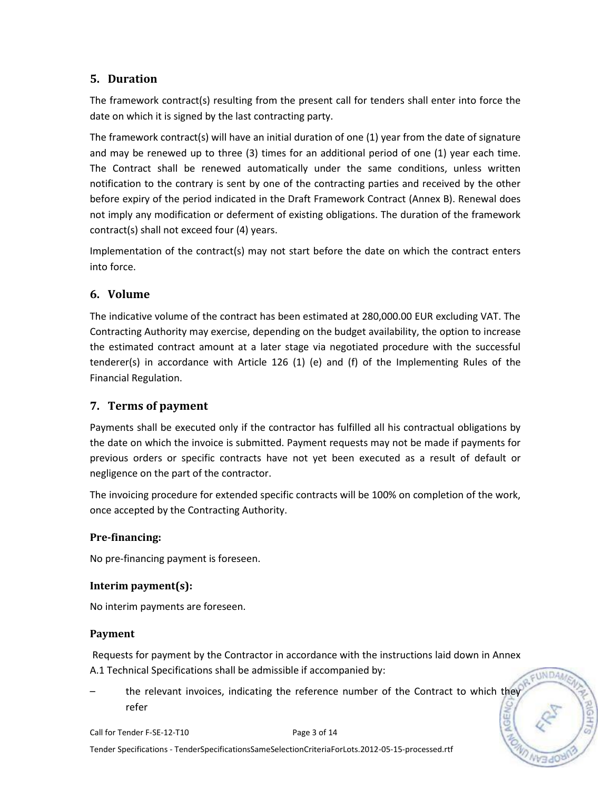## **5. Duration**

The framework contract(s) resulting from the present call for tenders shall enter into force the date on which it is signed by the last contracting party.

The framework contract(s) will have an initial duration of one (1) year from the date of signature and may be renewed up to three (3) times for an additional period of one (1) year each time. The Contract shall be renewed automatically under the same conditions, unless written notification to the contrary is sent by one of the contracting parties and received by the other before expiry of the period indicated in the Draft Framework Contract (Annex B). Renewal does not imply any modification or deferment of existing obligations. The duration of the framework contract(s) shall not exceed four (4) years.

Implementation of the contract(s) may not start before the date on which the contract enters into force.

# **6. Volume**

The indicative volume of the contract has been estimated at 280,000.00 EUR excluding VAT. The Contracting Authority may exercise, depending on the budget availability, the option to increase the estimated contract amount at a later stage via negotiated procedure with the successful tenderer(s) in accordance with Article 126 (1) (e) and (f) of the Implementing Rules of the Financial Regulation.

# **7. Terms of payment**

Payments shall be executed only if the contractor has fulfilled all his contractual obligations by the date on which the invoice is submitted. Payment requests may not be made if payments for previous orders or specific contracts have not yet been executed as a result of default or negligence on the part of the contractor.

The invoicing procedure for extended specific contracts will be 100% on completion of the work, once accepted by the Contracting Authority.

## **Pre-financing:**

No pre-financing payment is foreseen.

#### **Interim payment(s):**

No interim payments are foreseen.

#### **Payment**

Requests for payment by the Contractor in accordance with the instructions laid down in Annex A.1 Technical Specifications shall be admissible if accompanied by:

**EUNDAN** 

the relevant invoices, indicating the reference number of the Contract to which they refer



Tender Specifications - TenderSpecificationsSameSelectionCriteriaForLots.2012-05-15-processed.rtf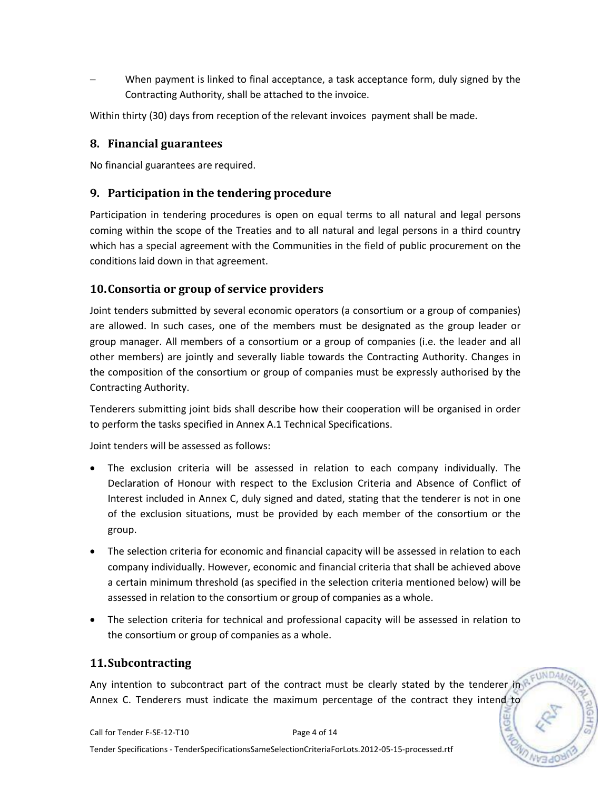When payment is linked to final acceptance, a task acceptance form, duly signed by the Contracting Authority, shall be attached to the invoice.

Within thirty (30) days from reception of the relevant invoices payment shall be made.

#### **8. Financial guarantees**

No financial guarantees are required.

### **9. Participation in the tendering procedure**

Participation in tendering procedures is open on equal terms to all natural and legal persons coming within the scope of the Treaties and to all natural and legal persons in a third country which has a special agreement with the Communities in the field of public procurement on the conditions laid down in that agreement.

### **10.Consortia or group of service providers**

Joint tenders submitted by several economic operators (a consortium or a group of companies) are allowed. In such cases, one of the members must be designated as the group leader or group manager. All members of a consortium or a group of companies (i.e. the leader and all other members) are jointly and severally liable towards the Contracting Authority. Changes in the composition of the consortium or group of companies must be expressly authorised by the Contracting Authority.

Tenderers submitting joint bids shall describe how their cooperation will be organised in order to perform the tasks specified in Annex A.1 Technical Specifications.

Joint tenders will be assessed as follows:

- The exclusion criteria will be assessed in relation to each company individually. The Declaration of Honour with respect to the Exclusion Criteria and Absence of Conflict of Interest included in Annex C, duly signed and dated, stating that the tenderer is not in one of the exclusion situations, must be provided by each member of the consortium or the group.
- The selection criteria for economic and financial capacity will be assessed in relation to each company individually. However, economic and financial criteria that shall be achieved above a certain minimum threshold (as specified in the selection criteria mentioned below) will be assessed in relation to the consortium or group of companies as a whole.
- The selection criteria for technical and professional capacity will be assessed in relation to the consortium or group of companies as a whole.

#### **11.Subcontracting**

Any intention to subcontract part of the contract must be clearly stated by the tenderer in Annex C. Tenderers must indicate the maximum percentage of the contract they intend to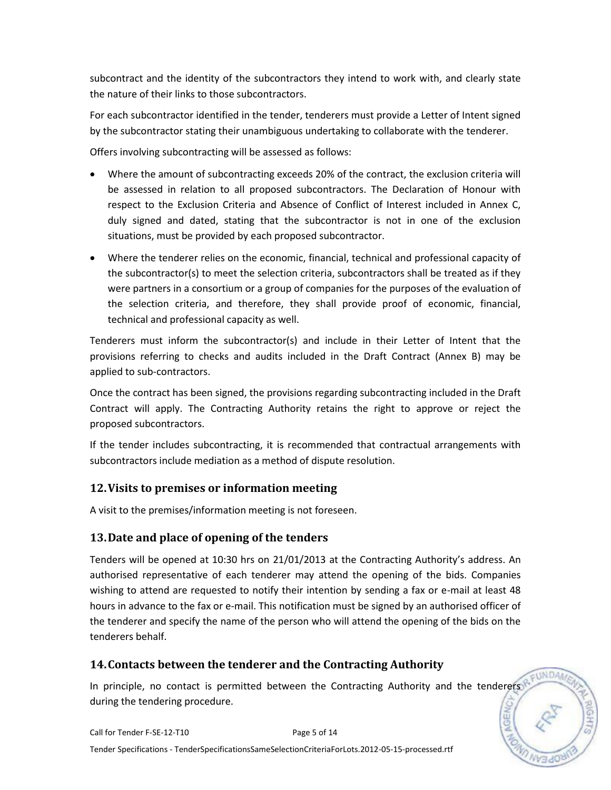subcontract and the identity of the subcontractors they intend to work with, and clearly state the nature of their links to those subcontractors.

For each subcontractor identified in the tender, tenderers must provide a Letter of Intent signed by the subcontractor stating their unambiguous undertaking to collaborate with the tenderer.

Offers involving subcontracting will be assessed as follows:

- Where the amount of subcontracting exceeds 20% of the contract, the exclusion criteria will be assessed in relation to all proposed subcontractors. The Declaration of Honour with respect to the Exclusion Criteria and Absence of Conflict of Interest included in Annex C, duly signed and dated, stating that the subcontractor is not in one of the exclusion situations, must be provided by each proposed subcontractor.
- Where the tenderer relies on the economic, financial, technical and professional capacity of the subcontractor(s) to meet the selection criteria, subcontractors shall be treated as if they were partners in a consortium or a group of companies for the purposes of the evaluation of the selection criteria, and therefore, they shall provide proof of economic, financial, technical and professional capacity as well.

Tenderers must inform the subcontractor(s) and include in their Letter of Intent that the provisions referring to checks and audits included in the Draft Contract (Annex B) may be applied to sub-contractors.

Once the contract has been signed, the provisions regarding subcontracting included in the Draft Contract will apply. The Contracting Authority retains the right to approve or reject the proposed subcontractors.

If the tender includes subcontracting, it is recommended that contractual arrangements with subcontractors include mediation as a method of dispute resolution.

# **12.Visits to premises or information meeting**

A visit to the premises/information meeting is not foreseen.

## **13.Date and place of opening of the tenders**

Tenders will be opened at 10:30 hrs on 21/01/2013 at the Contracting Authority's address. An authorised representative of each tenderer may attend the opening of the bids. Companies wishing to attend are requested to notify their intention by sending a fax or e-mail at least 48 hours in advance to the fax or e-mail. This notification must be signed by an authorised officer of the tenderer and specify the name of the person who will attend the opening of the bids on the tenderers behalf.

# **14.Contacts between the tenderer and the Contracting Authority**

In principle, no contact is permitted between the Contracting Authority and the tenderers during the tendering procedure.

**EUNDA**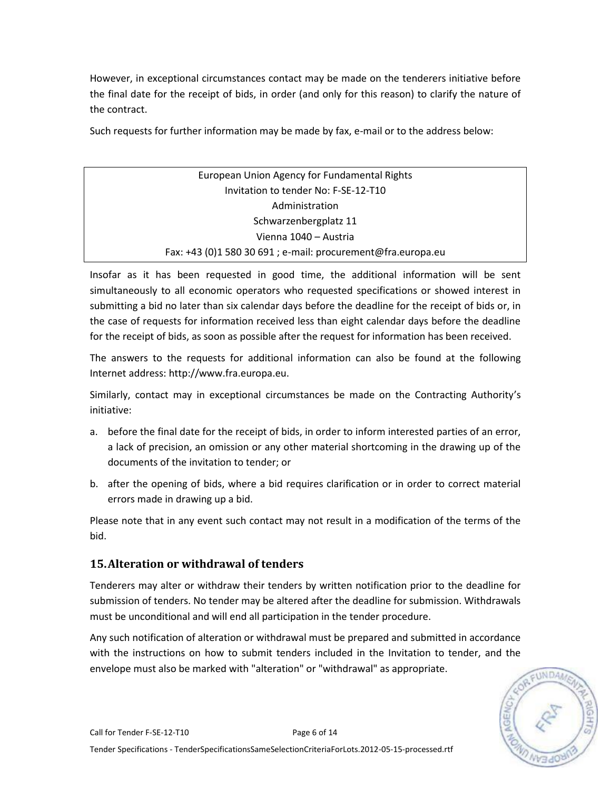However, in exceptional circumstances contact may be made on the tenderers initiative before the final date for the receipt of bids, in order (and only for this reason) to clarify the nature of the contract.

Such requests for further information may be made by fax, e-mail or to the address below:

| European Union Agency for Fundamental Rights                 |  |
|--------------------------------------------------------------|--|
| Invitation to tender No: F-SE-12-T10                         |  |
| Administration                                               |  |
| Schwarzenbergplatz 11                                        |  |
| Vienna 1040 - Austria                                        |  |
| Fax: +43 (0)1 580 30 691 ; e-mail: procurement@fra.europa.eu |  |

Insofar as it has been requested in good time, the additional information will be sent simultaneously to all economic operators who requested specifications or showed interest in submitting a bid no later than six calendar days before the deadline for the receipt of bids or, in the case of requests for information received less than eight calendar days before the deadline for the receipt of bids, as soon as possible after the request for information has been received.

The answers to the requests for additional information can also be found at the following Internet address: http://www.fra.europa.eu.

Similarly, contact may in exceptional circumstances be made on the Contracting Authority's initiative:

- a. before the final date for the receipt of bids, in order to inform interested parties of an error, a lack of precision, an omission or any other material shortcoming in the drawing up of the documents of the invitation to tender; or
- b. after the opening of bids, where a bid requires clarification or in order to correct material errors made in drawing up a bid.

Please note that in any event such contact may not result in a modification of the terms of the bid.

## **15.Alteration or withdrawal of tenders**

Tenderers may alter or withdraw their tenders by written notification prior to the deadline for submission of tenders. No tender may be altered after the deadline for submission. Withdrawals must be unconditional and will end all participation in the tender procedure.

Any such notification of alteration or withdrawal must be prepared and submitted in accordance with the instructions on how to submit tenders included in the Invitation to tender, and the envelope must also be marked with "alteration" or "withdrawal" as appropriate.

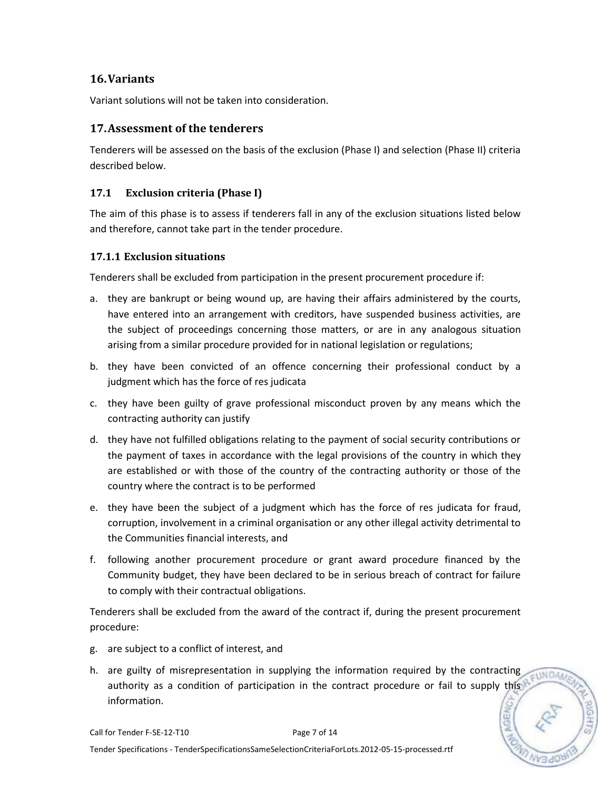## **16.Variants**

Variant solutions will not be taken into consideration.

## **17.Assessment of the tenderers**

Tenderers will be assessed on the basis of the exclusion (Phase I) and selection (Phase II) criteria described below.

### **17.1 Exclusion criteria (Phase I)**

The aim of this phase is to assess if tenderers fall in any of the exclusion situations listed below and therefore, cannot take part in the tender procedure.

#### **17.1.1 Exclusion situations**

Tenderers shall be excluded from participation in the present procurement procedure if:

- a. they are bankrupt or being wound up, are having their affairs administered by the courts, have entered into an arrangement with creditors, have suspended business activities, are the subject of proceedings concerning those matters, or are in any analogous situation arising from a similar procedure provided for in national legislation or regulations;
- b. they have been convicted of an offence concerning their professional conduct by a judgment which has the force of res judicata
- c. they have been guilty of grave professional misconduct proven by any means which the contracting authority can justify
- d. they have not fulfilled obligations relating to the payment of social security contributions or the payment of taxes in accordance with the legal provisions of the country in which they are established or with those of the country of the contracting authority or those of the country where the contract is to be performed
- e. they have been the subject of a judgment which has the force of res judicata for fraud, corruption, involvement in a criminal organisation or any other illegal activity detrimental to the Communities financial interests, and
- f. following another procurement procedure or grant award procedure financed by the Community budget, they have been declared to be in serious breach of contract for failure to comply with their contractual obligations.

Tenderers shall be excluded from the award of the contract if, during the present procurement procedure:

- g. are subject to a conflict of interest, and
- h. are guilty of misrepresentation in supplying the information required by the contracting **EUNDAM** authority as a condition of participation in the contract procedure or fail to supply this information.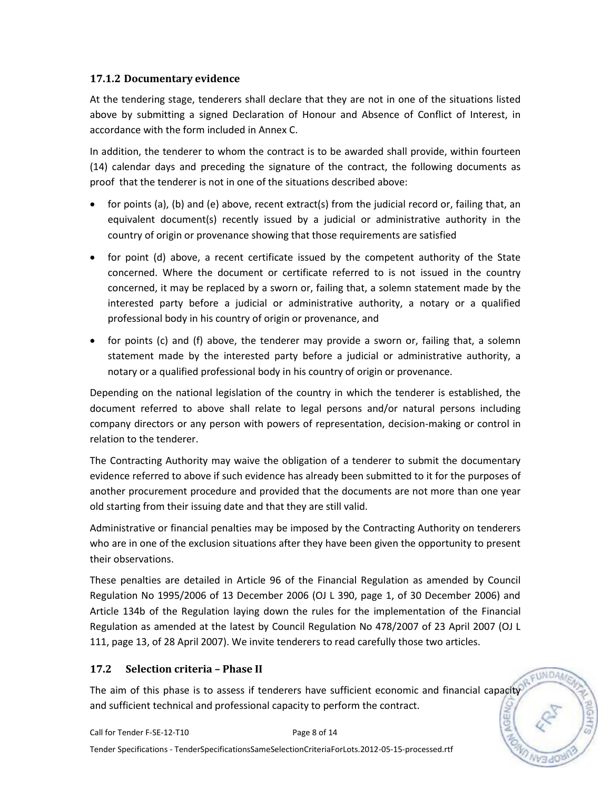### **17.1.2 Documentary evidence**

At the tendering stage, tenderers shall declare that they are not in one of the situations listed above by submitting a signed Declaration of Honour and Absence of Conflict of Interest, in accordance with the form included in Annex C.

In addition, the tenderer to whom the contract is to be awarded shall provide, within fourteen (14) calendar days and preceding the signature of the contract, the following documents as proof that the tenderer is not in one of the situations described above:

- for points (a), (b) and (e) above, recent extract(s) from the judicial record or, failing that, an equivalent document(s) recently issued by a judicial or administrative authority in the country of origin or provenance showing that those requirements are satisfied
- for point (d) above, a recent certificate issued by the competent authority of the State concerned. Where the document or certificate referred to is not issued in the country concerned, it may be replaced by a sworn or, failing that, a solemn statement made by the interested party before a judicial or administrative authority, a notary or a qualified professional body in his country of origin or provenance, and
- for points (c) and (f) above, the tenderer may provide a sworn or, failing that, a solemn statement made by the interested party before a judicial or administrative authority, a notary or a qualified professional body in his country of origin or provenance.

Depending on the national legislation of the country in which the tenderer is established, the document referred to above shall relate to legal persons and/or natural persons including company directors or any person with powers of representation, decision-making or control in relation to the tenderer.

The Contracting Authority may waive the obligation of a tenderer to submit the documentary evidence referred to above if such evidence has already been submitted to it for the purposes of another procurement procedure and provided that the documents are not more than one year old starting from their issuing date and that they are still valid.

Administrative or financial penalties may be imposed by the Contracting Authority on tenderers who are in one of the exclusion situations after they have been given the opportunity to present their observations.

These penalties are detailed in Article 96 of the Financial Regulation as amended by Council Regulation No 1995/2006 of 13 December 2006 (OJ L 390, page 1, of 30 December 2006) and Article 134b of the Regulation laying down the rules for the implementation of the Financial Regulation as amended at the latest by Council Regulation No 478/2007 of 23 April 2007 (OJ L 111, page 13, of 28 April 2007). We invite tenderers to read carefully those two articles.

## **17.2 Selection criteria – Phase II**

The aim of this phase is to assess if tenderers have sufficient economic and financial capacity and sufficient technical and professional capacity to perform the contract.

EUNDAN

Tender Specifications - TenderSpecificationsSameSelectionCriteriaForLots.2012-05-15-processed.rtf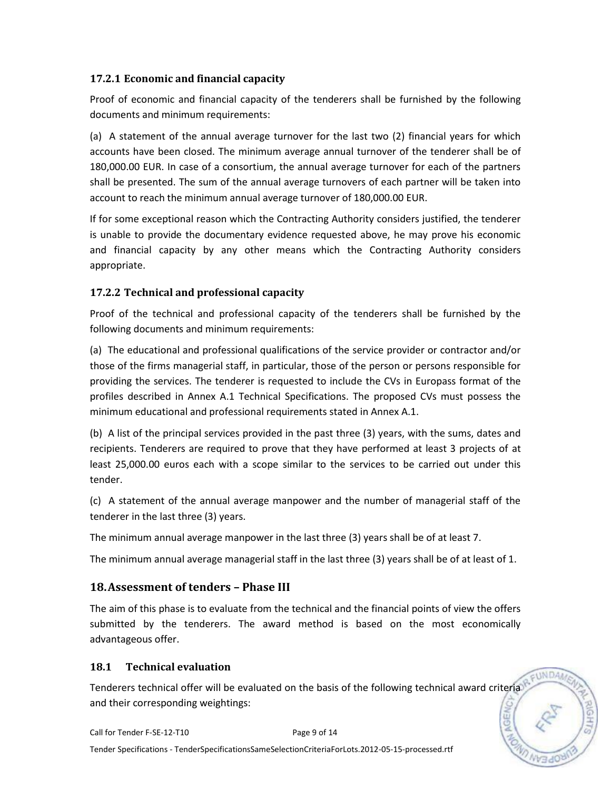### **17.2.1 Economic and financial capacity**

Proof of economic and financial capacity of the tenderers shall be furnished by the following documents and minimum requirements:

(a) A statement of the annual average turnover for the last two (2) financial years for which accounts have been closed. The minimum average annual turnover of the tenderer shall be of 180,000.00 EUR. In case of a consortium, the annual average turnover for each of the partners shall be presented. The sum of the annual average turnovers of each partner will be taken into account to reach the minimum annual average turnover of 180,000.00 EUR.

If for some exceptional reason which the Contracting Authority considers justified, the tenderer is unable to provide the documentary evidence requested above, he may prove his economic and financial capacity by any other means which the Contracting Authority considers appropriate.

### **17.2.2 Technical and professional capacity**

Proof of the technical and professional capacity of the tenderers shall be furnished by the following documents and minimum requirements:

(a) The educational and professional qualifications of the service provider or contractor and/or those of the firms managerial staff, in particular, those of the person or persons responsible for providing the services. The tenderer is requested to include the CVs in Europass format of the profiles described in Annex A.1 Technical Specifications. The proposed CVs must possess the minimum educational and professional requirements stated in Annex A.1.

(b) A list of the principal services provided in the past three (3) years, with the sums, dates and recipients. Tenderers are required to prove that they have performed at least 3 projects of at least 25,000.00 euros each with a scope similar to the services to be carried out under this tender.

(c) A statement of the annual average manpower and the number of managerial staff of the tenderer in the last three (3) years.

The minimum annual average manpower in the last three (3) years shall be of at least 7.

The minimum annual average managerial staff in the last three (3) years shall be of at least of 1.

## **18.Assessment of tenders – Phase III**

The aim of this phase is to evaluate from the technical and the financial points of view the offers submitted by the tenderers. The award method is based on the most economically advantageous offer.

#### **18.1 Technical evaluation**

Tenderers technical offer will be evaluated on the basis of the following technical award criteria and their corresponding weightings:

**ONDA**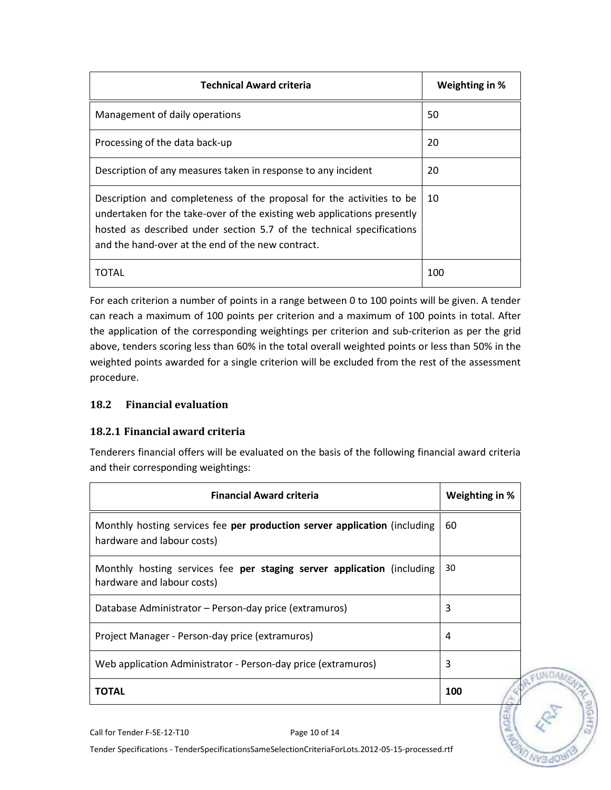| <b>Technical Award criteria</b>                                                                                                                                                                                                                                                | Weighting in % |
|--------------------------------------------------------------------------------------------------------------------------------------------------------------------------------------------------------------------------------------------------------------------------------|----------------|
| Management of daily operations                                                                                                                                                                                                                                                 | 50             |
| Processing of the data back-up                                                                                                                                                                                                                                                 | 20             |
| Description of any measures taken in response to any incident                                                                                                                                                                                                                  | 20             |
| Description and completeness of the proposal for the activities to be<br>undertaken for the take-over of the existing web applications presently<br>hosted as described under section 5.7 of the technical specifications<br>and the hand-over at the end of the new contract. | 10             |
| TOTAL                                                                                                                                                                                                                                                                          | 100            |

For each criterion a number of points in a range between 0 to 100 points will be given. A tender can reach a maximum of 100 points per criterion and a maximum of 100 points in total. After the application of the corresponding weightings per criterion and sub-criterion as per the grid above, tenders scoring less than 60% in the total overall weighted points or less than 50% in the weighted points awarded for a single criterion will be excluded from the rest of the assessment procedure.

#### **18.2 Financial evaluation**

#### **18.2.1 Financial award criteria**

Tenderers financial offers will be evaluated on the basis of the following financial award criteria and their corresponding weightings:

| Weighting in % |
|----------------|
| 60             |
| 30             |
| 3              |
| 4              |
| 3              |
| 100            |
|                |



Call for Tender F-SE-12-T10 Page 10 of 14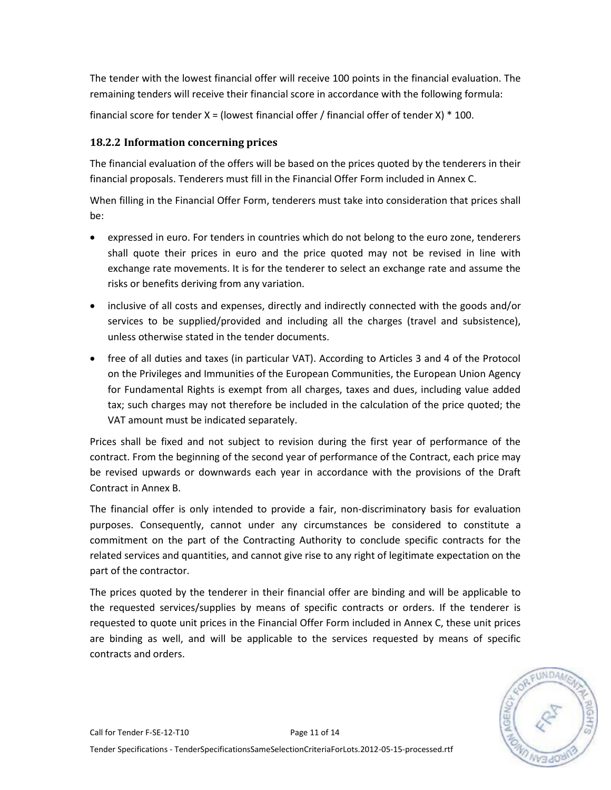The tender with the lowest financial offer will receive 100 points in the financial evaluation. The remaining tenders will receive their financial score in accordance with the following formula:

financial score for tender  $X =$  (lowest financial offer / financial offer of tender X)  $*$  100.

## **18.2.2 Information concerning prices**

The financial evaluation of the offers will be based on the prices quoted by the tenderers in their financial proposals. Tenderers must fill in the Financial Offer Form included in Annex C.

When filling in the Financial Offer Form, tenderers must take into consideration that prices shall be:

- expressed in euro. For tenders in countries which do not belong to the euro zone, tenderers shall quote their prices in euro and the price quoted may not be revised in line with exchange rate movements. It is for the tenderer to select an exchange rate and assume the risks or benefits deriving from any variation.
- inclusive of all costs and expenses, directly and indirectly connected with the goods and/or services to be supplied/provided and including all the charges (travel and subsistence), unless otherwise stated in the tender documents.
- free of all duties and taxes (in particular VAT). According to Articles 3 and 4 of the Protocol on the Privileges and Immunities of the European Communities, the European Union Agency for Fundamental Rights is exempt from all charges, taxes and dues, including value added tax; such charges may not therefore be included in the calculation of the price quoted; the VAT amount must be indicated separately.

Prices shall be fixed and not subject to revision during the first year of performance of the contract. From the beginning of the second year of performance of the Contract, each price may be revised upwards or downwards each year in accordance with the provisions of the Draft Contract in Annex B.

The financial offer is only intended to provide a fair, non-discriminatory basis for evaluation purposes. Consequently, cannot under any circumstances be considered to constitute a commitment on the part of the Contracting Authority to conclude specific contracts for the related services and quantities, and cannot give rise to any right of legitimate expectation on the part of the contractor.

The prices quoted by the tenderer in their financial offer are binding and will be applicable to the requested services/supplies by means of specific contracts or orders. If the tenderer is requested to quote unit prices in the Financial Offer Form included in Annex C, these unit prices are binding as well, and will be applicable to the services requested by means of specific contracts and orders.

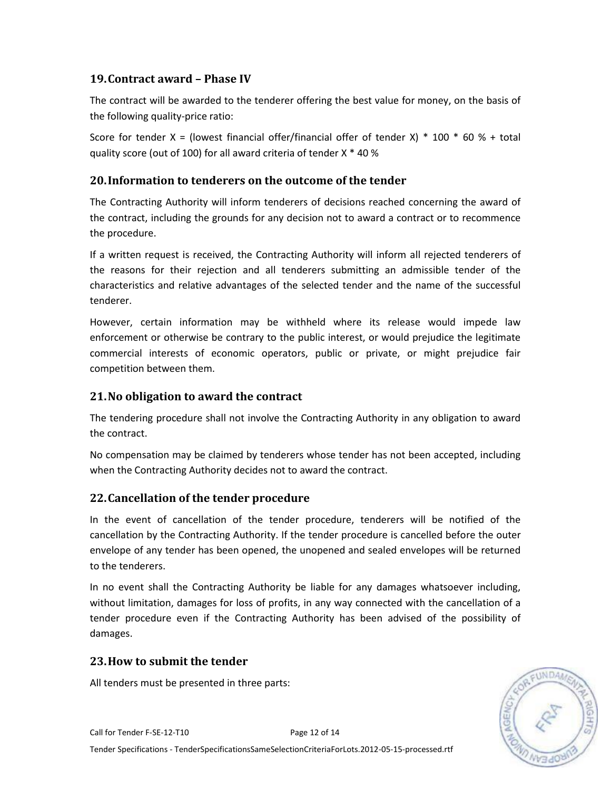## **19.Contract award – Phase IV**

The contract will be awarded to the tenderer offering the best value for money, on the basis of the following quality-price ratio:

Score for tender X = (lowest financial offer/financial offer of tender X)  $*$  100  $*$  60 % + total quality score (out of 100) for all award criteria of tender X \* 40 %

### **20.Information to tenderers on the outcome of the tender**

The Contracting Authority will inform tenderers of decisions reached concerning the award of the contract, including the grounds for any decision not to award a contract or to recommence the procedure.

If a written request is received, the Contracting Authority will inform all rejected tenderers of the reasons for their rejection and all tenderers submitting an admissible tender of the characteristics and relative advantages of the selected tender and the name of the successful tenderer.

However, certain information may be withheld where its release would impede law enforcement or otherwise be contrary to the public interest, or would prejudice the legitimate commercial interests of economic operators, public or private, or might prejudice fair competition between them.

### **21.No obligation to award the contract**

The tendering procedure shall not involve the Contracting Authority in any obligation to award the contract.

No compensation may be claimed by tenderers whose tender has not been accepted, including when the Contracting Authority decides not to award the contract.

#### **22.Cancellation of the tender procedure**

In the event of cancellation of the tender procedure, tenderers will be notified of the cancellation by the Contracting Authority. If the tender procedure is cancelled before the outer envelope of any tender has been opened, the unopened and sealed envelopes will be returned to the tenderers.

In no event shall the Contracting Authority be liable for any damages whatsoever including, without limitation, damages for loss of profits, in any way connected with the cancellation of a tender procedure even if the Contracting Authority has been advised of the possibility of damages.

#### **23.How to submit the tender**

All tenders must be presented in three parts:

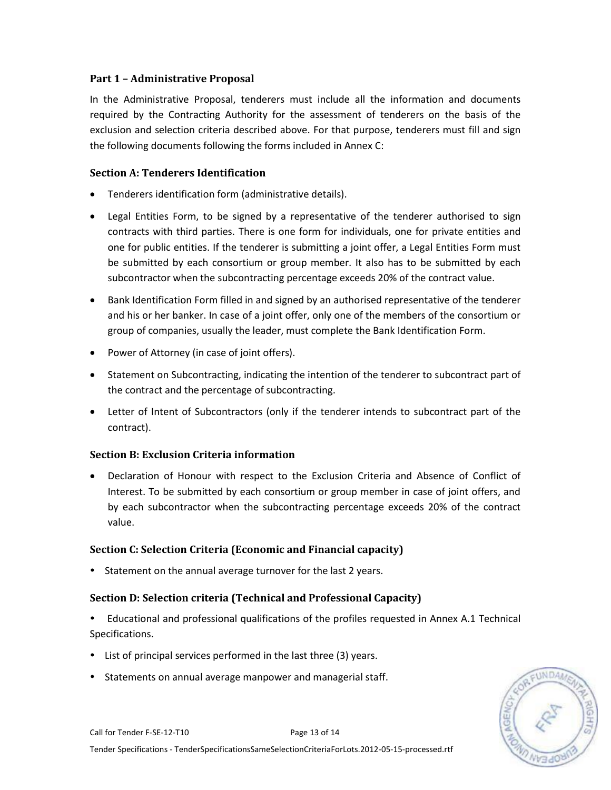#### **Part 1 – Administrative Proposal**

In the Administrative Proposal, tenderers must include all the information and documents required by the Contracting Authority for the assessment of tenderers on the basis of the exclusion and selection criteria described above. For that purpose, tenderers must fill and sign the following documents following the forms included in Annex C:

#### **Section A: Tenderers Identification**

- Tenderers identification form (administrative details).
- Legal Entities Form, to be signed by a representative of the tenderer authorised to sign contracts with third parties. There is one form for individuals, one for private entities and one for public entities. If the tenderer is submitting a joint offer, a Legal Entities Form must be submitted by each consortium or group member. It also has to be submitted by each subcontractor when the subcontracting percentage exceeds 20% of the contract value.
- Bank Identification Form filled in and signed by an authorised representative of the tenderer and his or her banker. In case of a joint offer, only one of the members of the consortium or group of companies, usually the leader, must complete the Bank Identification Form.
- Power of Attorney (in case of joint offers).
- Statement on Subcontracting, indicating the intention of the tenderer to subcontract part of the contract and the percentage of subcontracting.
- Letter of Intent of Subcontractors (only if the tenderer intends to subcontract part of the contract).

#### **Section B: Exclusion Criteria information**

 Declaration of Honour with respect to the Exclusion Criteria and Absence of Conflict of Interest. To be submitted by each consortium or group member in case of joint offers, and by each subcontractor when the subcontracting percentage exceeds 20% of the contract value.

#### **Section C: Selection Criteria (Economic and Financial capacity)**

• Statement on the annual average turnover for the last 2 years.

#### **Section D: Selection criteria (Technical and Professional Capacity)**

 Educational and professional qualifications of the profiles requested in Annex A.1 Technical Specifications.

- List of principal services performed in the last three (3) years.
- Statements on annual average manpower and managerial staff.